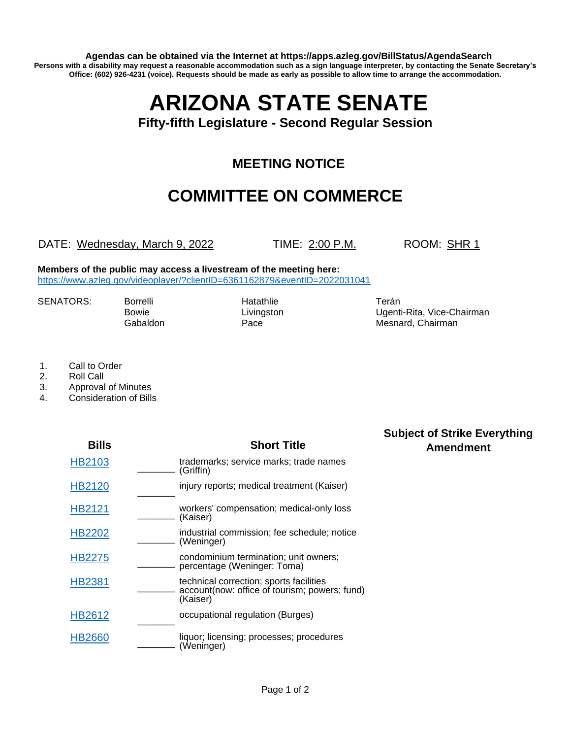**Agendas can be obtained via the Internet at https://apps.azleg.gov/BillStatus/AgendaSearch Persons with a disability may request a reasonable accommodation such as a sign language interpreter, by contacting the Senate Secretary's Office: (602) 926-4231 (voice). Requests should be made as early as possible to allow time to arrange the accommodation.**

## **ARIZONA STATE SENATE**

**Fifty-fifth Legislature - Second Regular Session**

## **MEETING NOTICE**

## **COMMITTEE ON COMMERCE**

DATE: Wednesday, March 9, 2022 TIME: 2:00 P.M. ROOM: SHR 1

**Members of the public may access a livestream of the meeting here:**  <https://www.azleg.gov/videoplayer/?clientID=6361162879&eventID=2022031041>

SENATORS: Borrelli Hatathlie Hatathlie Terán

Bowie **Livingston** Livingston **Ugenti-Rita, Vice-Chairman** Gabaldon **Pace** Pace **Mesnard, Chairman** 

> **Subject of Strike Everything Amendment**

- 1. Call to Order
- 2. Roll Call
- 3. Approval of Minutes
- 4. Consideration of Bills

| <b>Bills</b>  | <b>Short Title</b>                                                                                   |
|---------------|------------------------------------------------------------------------------------------------------|
| HB2103        | trademarks; service marks; trade names<br>(Griffin)                                                  |
| HB2120        | injury reports; medical treatment (Kaiser)                                                           |
| HB2121        | workers' compensation; medical-only loss<br>(Kaiser)                                                 |
| <b>HB2202</b> | industrial commission; fee schedule; notice<br>(Weninger)                                            |
| <b>HB2275</b> | condominium termination; unit owners;<br>percentage (Weninger: Toma)                                 |
| HB2381        | technical correction; sports facilities<br>account(now: office of tourism; powers; fund)<br>(Kaiser) |
| <b>HB2612</b> | occupational regulation (Burges)                                                                     |
| HB2660        | liquor; licensing; processes; procedures<br>(Weninger)                                               |